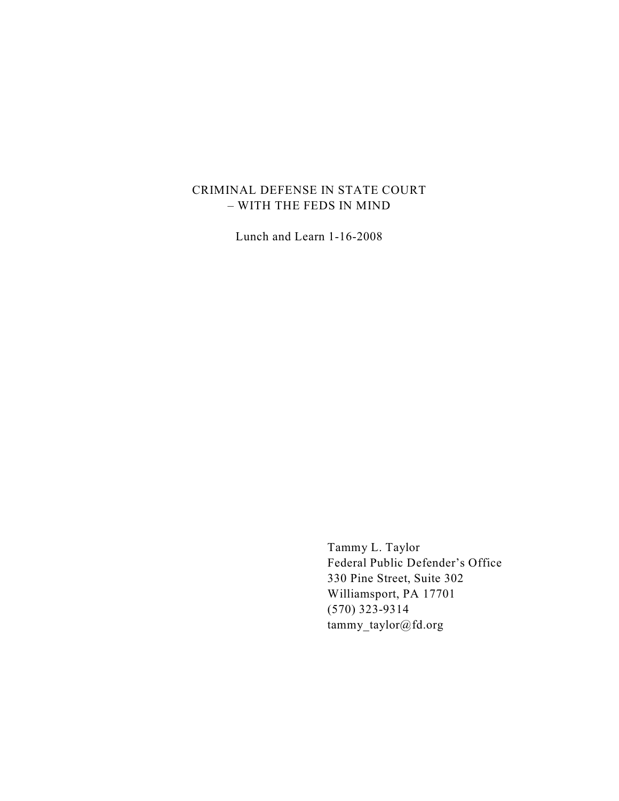## CRIMINAL DEFENSE IN STATE COURT – WITH THE FEDS IN MIND

Lunch and Learn 1-16-2008

Tammy L. Taylor Federal Public Defender's Office 330 Pine Street, Suite 302 Williamsport, PA 17701 (570) 323-9314 tammy\_taylor@fd.org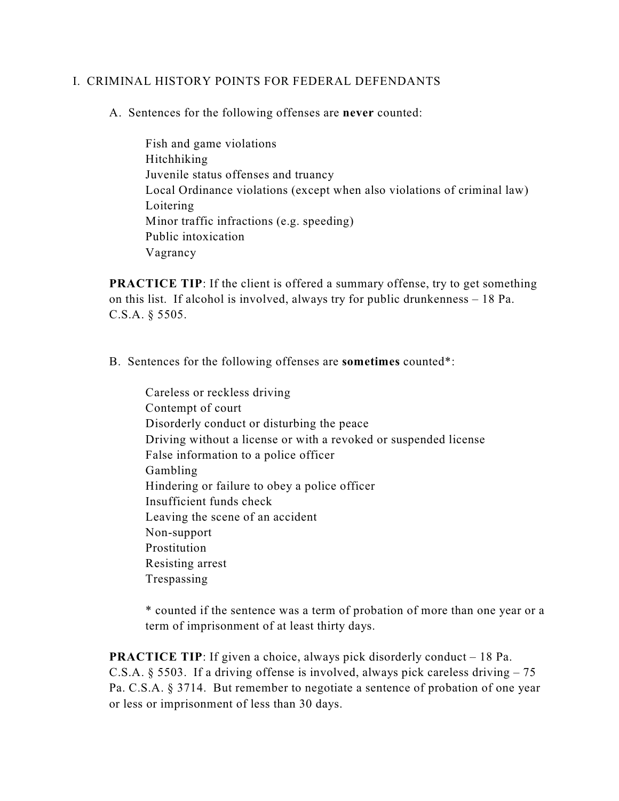## I. CRIMINAL HISTORY POINTS FOR FEDERAL DEFENDANTS

A. Sentences for the following offenses are **never** counted:

Fish and game violations Hitchhiking Juvenile status offenses and truancy Local Ordinance violations (except when also violations of criminal law) Loitering Minor traffic infractions (e.g. speeding) Public intoxication Vagrancy

**PRACTICE TIP:** If the client is offered a summary offense, try to get something on this list. If alcohol is involved, always try for public drunkenness – 18 Pa. C.S.A. § 5505.

B. Sentences for the following offenses are **sometimes** counted\*:

Careless or reckless driving Contempt of court Disorderly conduct or disturbing the peace Driving without a license or with a revoked or suspended license False information to a police officer Gambling Hindering or failure to obey a police officer Insufficient funds check Leaving the scene of an accident Non-support Prostitution Resisting arrest Trespassing

\* counted if the sentence was a term of probation of more than one year or a term of imprisonment of at least thirty days.

**PRACTICE TIP:** If given a choice, always pick disorderly conduct – 18 Pa. C.S.A. § 5503. If a driving offense is involved, always pick careless driving  $-75$ Pa. C.S.A. § 3714. But remember to negotiate a sentence of probation of one year or less or imprisonment of less than 30 days.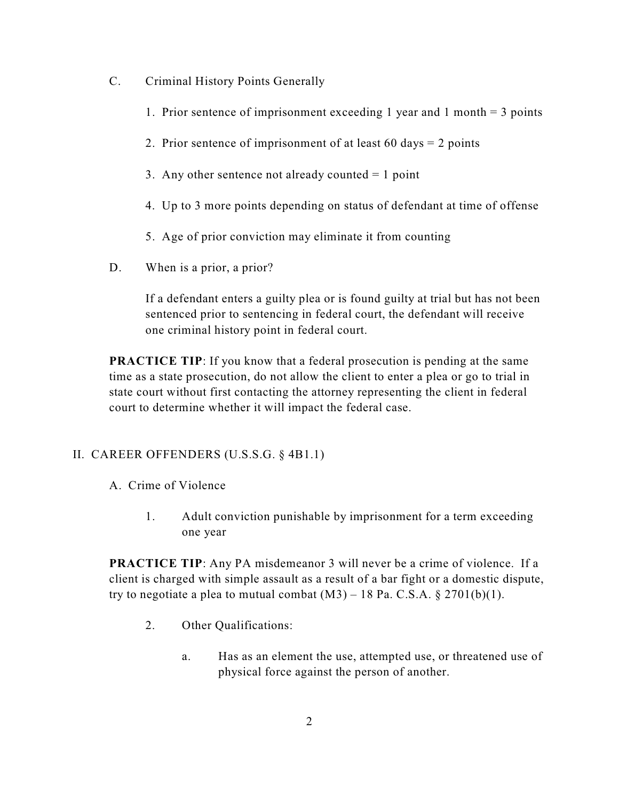- C. Criminal History Points Generally
	- 1. Prior sentence of imprisonment exceeding 1 year and 1 month  $=$  3 points
	- 2. Prior sentence of imprisonment of at least 60 days = 2 points
	- 3. Any other sentence not already counted  $= 1$  point
	- 4. Up to 3 more points depending on status of defendant at time of offense
	- 5. Age of prior conviction may eliminate it from counting
- D. When is a prior, a prior?

If a defendant enters a guilty plea or is found guilty at trial but has not been sentenced prior to sentencing in federal court, the defendant will receive one criminal history point in federal court.

**PRACTICE TIP:** If you know that a federal prosecution is pending at the same time as a state prosecution, do not allow the client to enter a plea or go to trial in state court without first contacting the attorney representing the client in federal court to determine whether it will impact the federal case.

# II. CAREER OFFENDERS (U.S.S.G. § 4B1.1)

- A. Crime of Violence
	- 1. Adult conviction punishable by imprisonment for a term exceeding one year

**PRACTICE TIP:** Any PA misdemeanor 3 will never be a crime of violence. If a client is charged with simple assault as a result of a bar fight or a domestic dispute, try to negotiate a plea to mutual combat  $(M3) - 18$  Pa. C.S.A. § 2701(b)(1).

- 2. Other Qualifications:
	- a. Has as an element the use, attempted use, or threatened use of physical force against the person of another.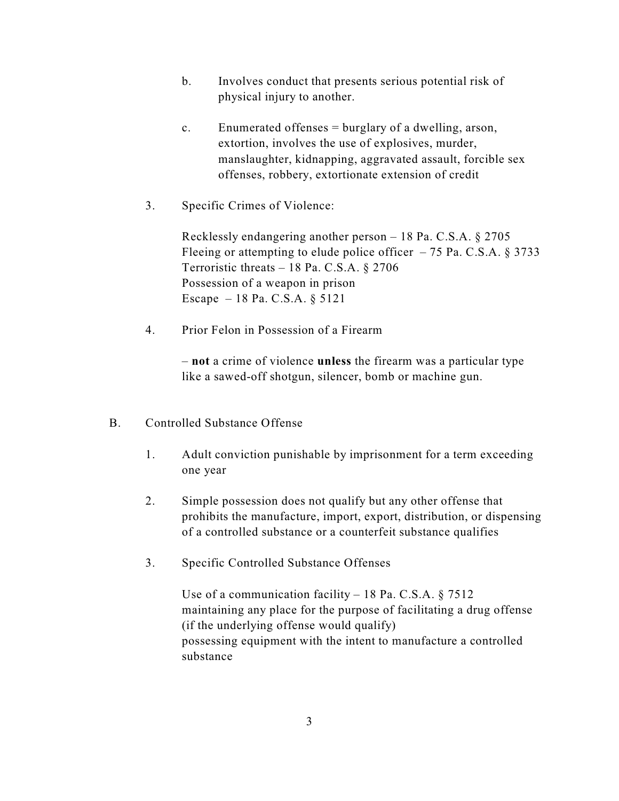- b. Involves conduct that presents serious potential risk of physical injury to another.
- c. Enumerated offenses = burglary of a dwelling, arson, extortion, involves the use of explosives, murder, manslaughter, kidnapping, aggravated assault, forcible sex offenses, robbery, extortionate extension of credit
- 3. Specific Crimes of Violence:

Recklessly endangering another person – 18 Pa. C.S.A. § 2705 Fleeing or attempting to elude police officer  $-75$  Pa. C.S.A. § 3733 Terroristic threats – 18 Pa. C.S.A. § 2706 Possession of a weapon in prison Escape – 18 Pa. C.S.A. § 5121

4. Prior Felon in Possession of a Firearm

– **not** a crime of violence **unless** the firearm was a particular type like a sawed-off shotgun, silencer, bomb or machine gun.

- B. Controlled Substance Offense
	- 1. Adult conviction punishable by imprisonment for a term exceeding one year
	- 2. Simple possession does not qualify but any other offense that prohibits the manufacture, import, export, distribution, or dispensing of a controlled substance or a counterfeit substance qualifies
	- 3. Specific Controlled Substance Offenses

Use of a communication facility – 18 Pa. C.S.A. § 7512 maintaining any place for the purpose of facilitating a drug offense (if the underlying offense would qualify) possessing equipment with the intent to manufacture a controlled substance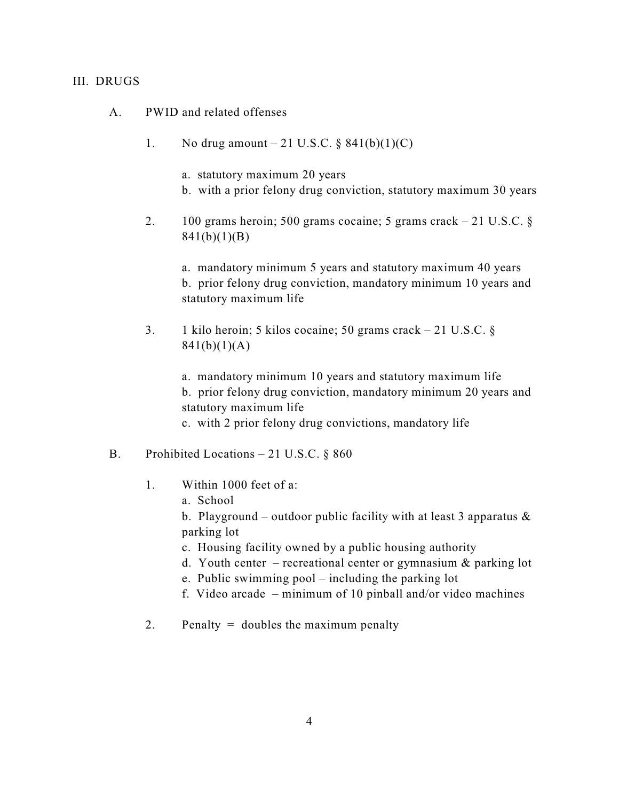### III. DRUGS

- A. PWID and related offenses
	- 1. No drug amount 21 U.S.C.  $\S$  841(b)(1)(C)
		- a. statutory maximum 20 years
		- b. with a prior felony drug conviction, statutory maximum 30 years
	- 2. 100 grams heroin; 500 grams cocaine; 5 grams crack 21 U.S.C. § 841(b)(1)(B)

a. mandatory minimum 5 years and statutory maximum 40 years b. prior felony drug conviction, mandatory minimum 10 years and statutory maximum life

3. 1 kilo heroin; 5 kilos cocaine; 50 grams crack – 21 U.S.C. § 841(b)(1)(A)

> a. mandatory minimum 10 years and statutory maximum life b. prior felony drug conviction, mandatory minimum 20 years and statutory maximum life

c. with 2 prior felony drug convictions, mandatory life

- B. Prohibited Locations 21 U.S.C.  $\S$  860
	- 1. Within 1000 feet of a:
		- a. School

b. Playground – outdoor public facility with at least 3 apparatus  $\&$ parking lot

- c. Housing facility owned by a public housing authority
- d. Youth center recreational center or gymnasium  $\&$  parking lot
- e. Public swimming pool including the parking lot
- f. Video arcade minimum of 10 pinball and/or video machines
- 2. Penalty  $=$  doubles the maximum penalty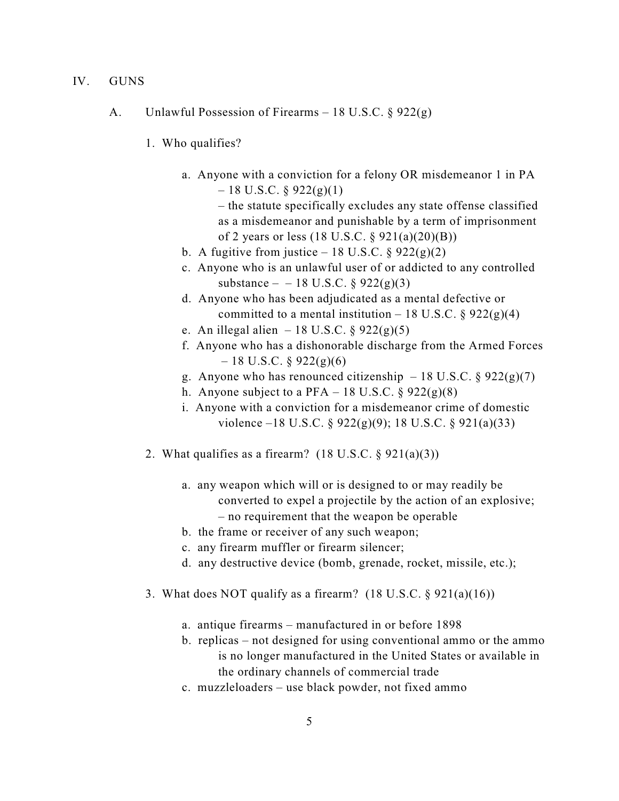- IV. GUNS
	- A. Unlawful Possession of Firearms 18 U.S.C. § 922(g)
		- 1. Who qualifies?
			- a. Anyone with a conviction for a felony OR misdemeanor 1 in PA  $-18$  U.S.C. § 922(g)(1)

– the statute specifically excludes any state offense classified as a misdemeanor and punishable by a term of imprisonment of 2 years or less (18 U.S.C. § 921(a)(20)(B))

- b. A fugitive from justice 18 U.S.C.  $\S 922(g)(2)$
- c. Anyone who is an unlawful user of or addicted to any controlled substance – – 18 U.S.C.  $\S 922(g)(3)$
- d. Anyone who has been adjudicated as a mental defective or committed to a mental institution – 18 U.S.C.  $\S 922(g)(4)$
- e. An illegal alien 18 U.S.C.  $\S 922(g)(5)$
- f. Anyone who has a dishonorable discharge from the Armed Forces  $-18$  U.S.C. § 922(g)(6)
- g. Anyone who has renounced citizenship  $-18$  U.S.C. § 922(g)(7)
- h. Anyone subject to a PFA 18 U.S.C.  $\S 922(g)(8)$
- i. Anyone with a conviction for a misdemeanor crime of domestic violence –18 U.S.C.  $\S$  922(g)(9); 18 U.S.C.  $\S$  921(a)(33)
- 2. What qualifies as a firearm?  $(18 \text{ U.S.C.} \S 921(a)(3))$ 
	- a. any weapon which will or is designed to or may readily be converted to expel a projectile by the action of an explosive; – no requirement that the weapon be operable
	- b. the frame or receiver of any such weapon;
	- c. any firearm muffler or firearm silencer;
	- d. any destructive device (bomb, grenade, rocket, missile, etc.);
- 3. What does NOT qualify as a firearm?  $(18 \text{ U.S.C.} \S 921(a)(16))$ 
	- a. antique firearms manufactured in or before 1898
	- b. replicas not designed for using conventional ammo or the ammo is no longer manufactured in the United States or available in the ordinary channels of commercial trade
	- c. muzzleloaders use black powder, not fixed ammo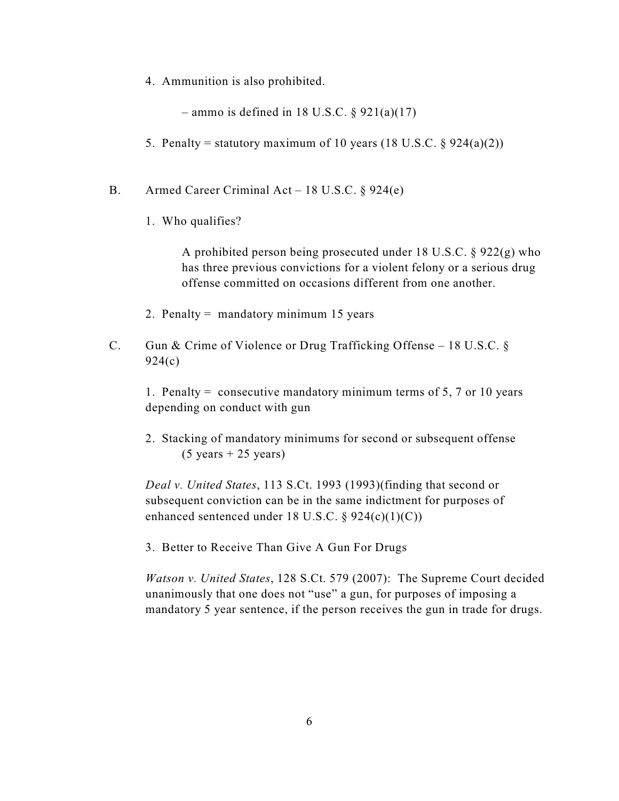4. Ammunition is also prohibited.

 $-$  ammo is defined in 18 U.S.C. § 921(a)(17)

- 5. Penalty = statutory maximum of 10 years (18 U.S.C.  $\S$  924(a)(2))
- B. Armed Career Criminal Act 18 U.S.C. § 924(e)
	- 1. Who qualifies?

A prohibited person being prosecuted under 18 U.S.C. § 922(g) who has three previous convictions for a violent felony or a serious drug offense committed on occasions different from one another.

- 2. Penalty = mandatory minimum 15 years
- C. Gun & Crime of Violence or Drug Trafficking Offense 18 U.S.C. § 924(c)

1. Penalty = consecutive mandatory minimum terms of 5, 7 or 10 years depending on conduct with gun

2. Stacking of mandatory minimums for second or subsequent offense  $(5 \text{ years} + 25 \text{ years})$ 

*Deal v. United States*, 113 S.Ct. 1993 (1993)(finding that second or subsequent conviction can be in the same indictment for purposes of enhanced sentenced under 18 U.S.C.  $\S$  924(c)(1)(C))

3. Better to Receive Than Give A Gun For Drugs

*Watson v. United States*, 128 S.Ct. 579 (2007): The Supreme Court decided unanimously that one does not "use" a gun, for purposes of imposing a mandatory 5 year sentence, if the person receives the gun in trade for drugs.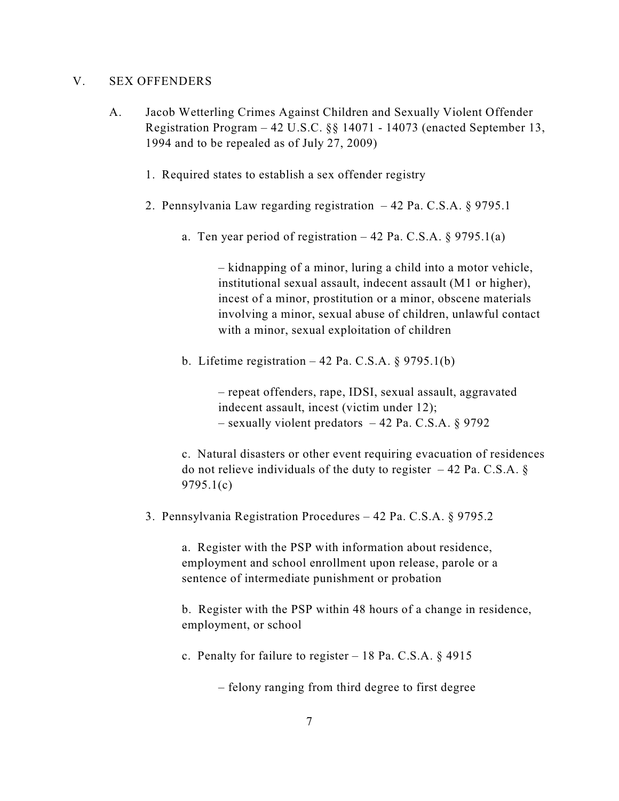### V. SEX OFFENDERS

- A. Jacob Wetterling Crimes Against Children and Sexually Violent Offender Registration Program – 42 U.S.C. §§ 14071 - 14073 (enacted September 13, 1994 and to be repealed as of July 27, 2009)
	- 1. Required states to establish a sex offender registry
	- 2. Pennsylvania Law regarding registration 42 Pa. C.S.A. § 9795.1
		- a. Ten year period of registration  $-42$  Pa. C.S.A. § 9795.1(a)

– kidnapping of a minor, luring a child into a motor vehicle, institutional sexual assault, indecent assault (M1 or higher), incest of a minor, prostitution or a minor, obscene materials involving a minor, sexual abuse of children, unlawful contact with a minor, sexual exploitation of children

b. Lifetime registration  $-42$  Pa. C.S.A. § 9795.1(b)

– repeat offenders, rape, IDSI, sexual assault, aggravated indecent assault, incest (victim under 12); – sexually violent predators – 42 Pa. C.S.A.  $\S$  9792

c. Natural disasters or other event requiring evacuation of residences do not relieve individuals of the duty to register  $-42$  Pa. C.S.A. § 9795.1(c)

3. Pennsylvania Registration Procedures – 42 Pa. C.S.A. § 9795.2

a. Register with the PSP with information about residence, employment and school enrollment upon release, parole or a sentence of intermediate punishment or probation

b. Register with the PSP within 48 hours of a change in residence, employment, or school

c. Penalty for failure to register  $-18$  Pa. C.S.A. § 4915

– felony ranging from third degree to first degree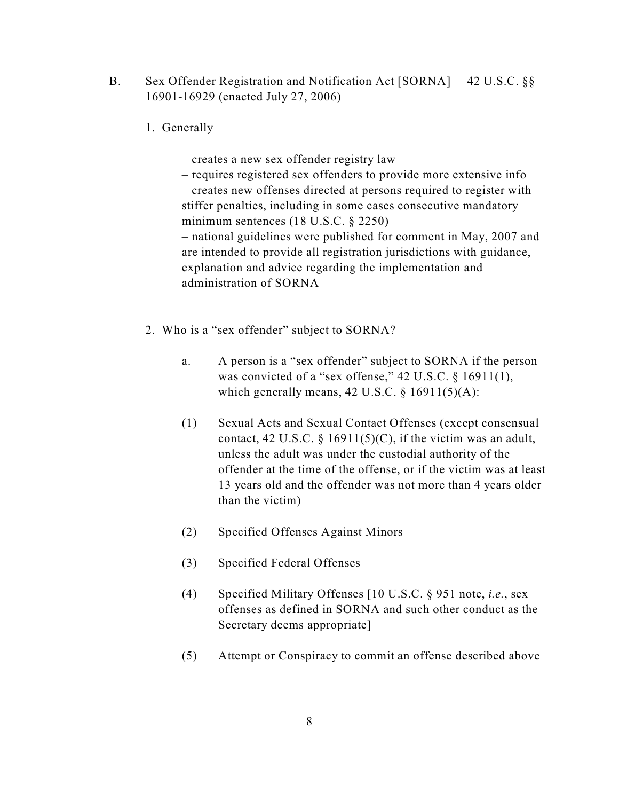- B. Sex Offender Registration and Notification Act [SORNA] 42 U.S.C. §§ 16901-16929 (enacted July 27, 2006)
	- 1. Generally

– creates a new sex offender registry law

– requires registered sex offenders to provide more extensive info – creates new offenses directed at persons required to register with stiffer penalties, including in some cases consecutive mandatory minimum sentences (18 U.S.C. § 2250) – national guidelines were published for comment in May, 2007 and

are intended to provide all registration jurisdictions with guidance, explanation and advice regarding the implementation and administration of SORNA

- 2. Who is a "sex offender" subject to SORNA?
	- a. A person is a "sex offender" subject to SORNA if the person was convicted of a "sex offense," 42 U.S.C. § 16911(1), which generally means,  $42 \text{ U.S.C.} \$   $16911(5)(\text{A})$ :
	- (1) Sexual Acts and Sexual Contact Offenses (except consensual contact, 42 U.S.C. § 16911(5)(C), if the victim was an adult, unless the adult was under the custodial authority of the offender at the time of the offense, or if the victim was at least 13 years old and the offender was not more than 4 years older than the victim)
	- (2) Specified Offenses Against Minors
	- (3) Specified Federal Offenses
	- (4) Specified Military Offenses [10 U.S.C. § 951 note, *i.e.*, sex offenses as defined in SORNA and such other conduct as the Secretary deems appropriate]
	- (5) Attempt or Conspiracy to commit an offense described above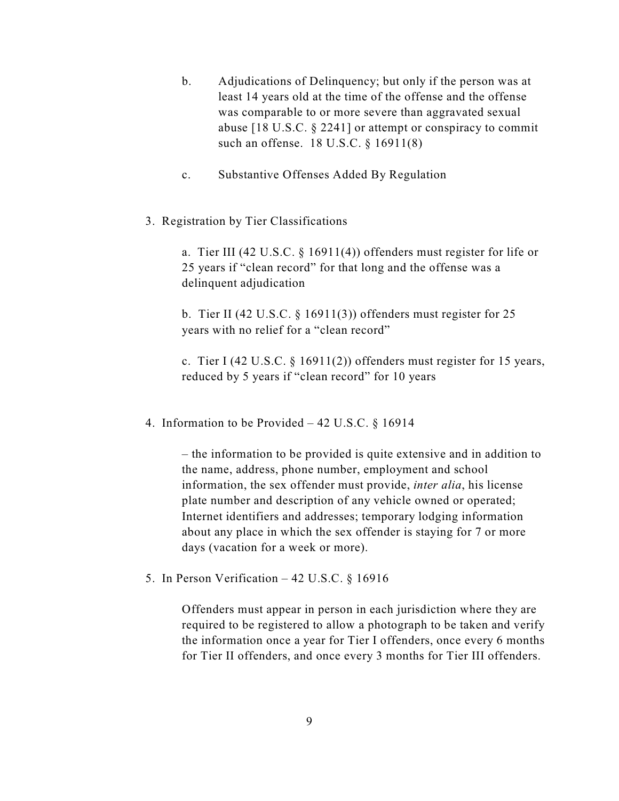- b. Adjudications of Delinquency; but only if the person was at least 14 years old at the time of the offense and the offense was comparable to or more severe than aggravated sexual abuse [18 U.S.C. § 2241] or attempt or conspiracy to commit such an offense. 18 U.S.C. § 16911(8)
- c. Substantive Offenses Added By Regulation
- 3. Registration by Tier Classifications

a. Tier III (42 U.S.C. § 16911(4)) offenders must register for life or 25 years if "clean record" for that long and the offense was a delinquent adjudication

b. Tier II (42 U.S.C.  $\S$  16911(3)) offenders must register for 25 years with no relief for a "clean record"

c. Tier I (42 U.S.C. § 16911(2)) offenders must register for 15 years, reduced by 5 years if "clean record" for 10 years

4. Information to be Provided – 42 U.S.C. § 16914

– the information to be provided is quite extensive and in addition to the name, address, phone number, employment and school information, the sex offender must provide, *inter alia*, his license plate number and description of any vehicle owned or operated; Internet identifiers and addresses; temporary lodging information about any place in which the sex offender is staying for 7 or more days (vacation for a week or more).

5. In Person Verification  $-42$  U.S.C. § 16916

Offenders must appear in person in each jurisdiction where they are required to be registered to allow a photograph to be taken and verify the information once a year for Tier I offenders, once every 6 months for Tier II offenders, and once every 3 months for Tier III offenders.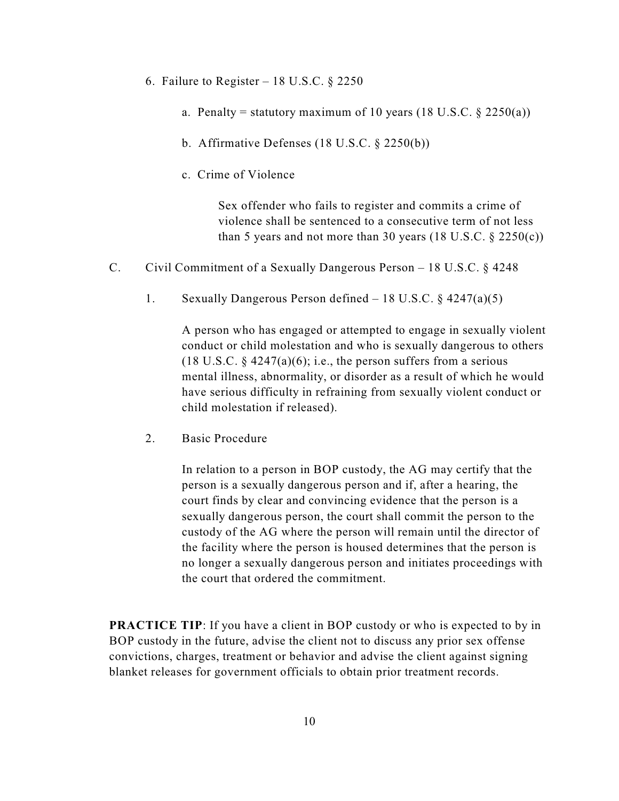- 6. Failure to Register 18 U.S.C.  $\S$  2250
	- a. Penalty = statutory maximum of 10 years  $(18 \text{ U.S.C. } 8 \text{ 2250(a)})$
	- b. Affirmative Defenses (18 U.S.C. § 2250(b))
	- c. Crime of Violence

Sex offender who fails to register and commits a crime of violence shall be sentenced to a consecutive term of not less than 5 years and not more than 30 years  $(18 \text{ U.S.C. } § 2250(c))$ 

- C. Civil Commitment of a Sexually Dangerous Person 18 U.S.C. § 4248
	- 1. Sexually Dangerous Person defined 18 U.S.C. § 4247(a)(5)

A person who has engaged or attempted to engage in sexually violent conduct or child molestation and who is sexually dangerous to others (18 U.S.C.  $\S$  4247(a)(6); i.e., the person suffers from a serious mental illness, abnormality, or disorder as a result of which he would have serious difficulty in refraining from sexually violent conduct or child molestation if released).

2. Basic Procedure

In relation to a person in BOP custody, the AG may certify that the person is a sexually dangerous person and if, after a hearing, the court finds by clear and convincing evidence that the person is a sexually dangerous person, the court shall commit the person to the custody of the AG where the person will remain until the director of the facility where the person is housed determines that the person is no longer a sexually dangerous person and initiates proceedings with the court that ordered the commitment.

**PRACTICE TIP:** If you have a client in BOP custody or who is expected to by in BOP custody in the future, advise the client not to discuss any prior sex offense convictions, charges, treatment or behavior and advise the client against signing blanket releases for government officials to obtain prior treatment records.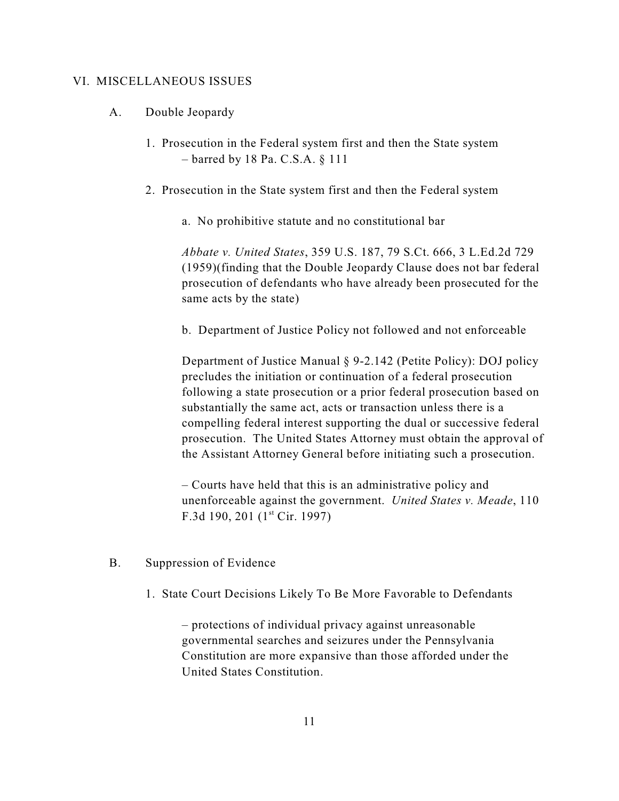### VI. MISCELLANEOUS ISSUES

- A. Double Jeopardy
	- 1. Prosecution in the Federal system first and then the State system – barred by 18 Pa. C.S.A. § 111
	- 2. Prosecution in the State system first and then the Federal system
		- a. No prohibitive statute and no constitutional bar

*Abbate v. United States*, 359 U.S. 187, 79 S.Ct. 666, 3 L.Ed.2d 729 (1959)(finding that the Double Jeopardy Clause does not bar federal prosecution of defendants who have already been prosecuted for the same acts by the state)

b. Department of Justice Policy not followed and not enforceable

Department of Justice Manual § 9-2.142 (Petite Policy): DOJ policy precludes the initiation or continuation of a federal prosecution following a state prosecution or a prior federal prosecution based on substantially the same act, acts or transaction unless there is a compelling federal interest supporting the dual or successive federal prosecution. The United States Attorney must obtain the approval of the Assistant Attorney General before initiating such a prosecution.

– Courts have held that this is an administrative policy and unenforceable against the government. *United States v. Meade*, 110 F.3d 190, 201  $(1<sup>st</sup> Cir. 1997)$ 

- B. Suppression of Evidence
	- 1. State Court Decisions Likely To Be More Favorable to Defendants

– protections of individual privacy against unreasonable governmental searches and seizures under the Pennsylvania Constitution are more expansive than those afforded under the United States Constitution.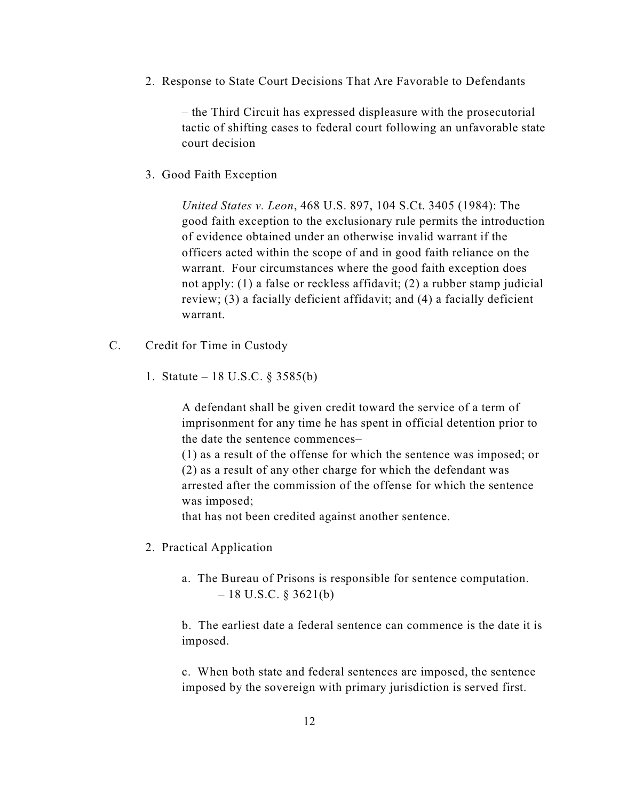2. Response to State Court Decisions That Are Favorable to Defendants

– the Third Circuit has expressed displeasure with the prosecutorial tactic of shifting cases to federal court following an unfavorable state court decision

3. Good Faith Exception

*United States v. Leon*, 468 U.S. 897, 104 S.Ct. 3405 (1984): The good faith exception to the exclusionary rule permits the introduction of evidence obtained under an otherwise invalid warrant if the officers acted within the scope of and in good faith reliance on the warrant. Four circumstances where the good faith exception does not apply: (1) a false or reckless affidavit; (2) a rubber stamp judicial review; (3) a facially deficient affidavit; and (4) a facially deficient warrant.

- C. Credit for Time in Custody
	- 1. Statute 18 U.S.C. § 3585(b)

A defendant shall be given credit toward the service of a term of imprisonment for any time he has spent in official detention prior to the date the sentence commences–

(1) as a result of the offense for which the sentence was imposed; or (2) as a result of any other charge for which the defendant was arrested after the commission of the offense for which the sentence was imposed;

that has not been credited against another sentence.

- 2. Practical Application
	- a. The Bureau of Prisons is responsible for sentence computation.  $-18$  U.S.C. § 3621(b)

b. The earliest date a federal sentence can commence is the date it is imposed.

c. When both state and federal sentences are imposed, the sentence imposed by the sovereign with primary jurisdiction is served first.